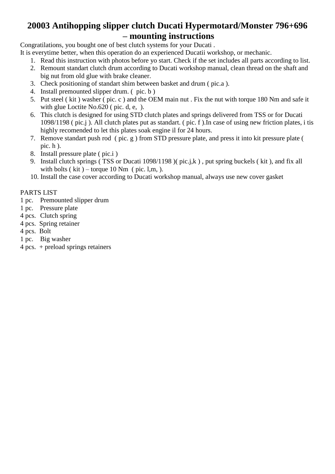#### **20003 Antihopping slipper clutch Ducati Hypermotard/Monster 796+696 – mounting instructions**

Congratilations, you bought one of best clutch systems for your Ducati .

- It is everytime better, when this operation do an experienced Ducatii workshop, or mechanic.
	- 1. Read this instruction with photos before yo start. Check if the set includes all parts according to list.
	- 2. Remount standart clutch drum according to Ducati workshop manual, clean thread on the shaft and big nut from old glue with brake cleaner.
	- 3. Check positioning of standart shim between basket and drum ( pic.a ).
	- 4. Install premounted slipper drum. ( pic. b )
	- 5. Put steel ( kit ) washer ( pic. c ) and the OEM main nut . Fix the nut with torque 180 Nm and safe it with glue Loctite No.620 (pic. d, e, ).
	- 6. This clutch is designed for using STD clutch plates and springs delivered from TSS or for Ducati 1098/1198 ( pic.j ). All clutch plates put as standart. ( pic. f ).In case of using new friction plates, i tis highly recomended to let this plates soak engine il for 24 hours.
	- 7. Remove standart push rod ( pic. g ) from STD pressure plate, and press it into kit pressure plate ( pic.  $h$ ).
	- 8. Install pressure plate ( pic.i )
	- 9. Install clutch springs ( TSS or Ducati 1098/1198 )( pic.j,k ) , put spring buckels ( kit ), and fix all with bolts ( $kit$ ) – torque 10 Nm ( $pic.$  l,m,).
	- 10. Install the case cover according to Ducati workshop manual, always use new cover gasket

#### PARTS LIST

- 1 pc. Premounted slipper drum
- 1 pc. Pressure plate
- 4 pcs. Clutch spring
- 4 pcs. Spring retainer
- 4 pcs. Bolt
- 1 pc. Big washer
- 4 pcs. + preload springs retainers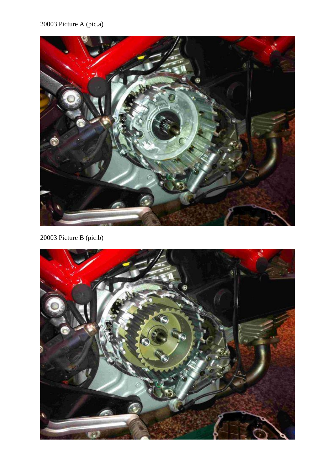#### 20003 Picture A (pic.a)



20003 Picture B (pic.b)

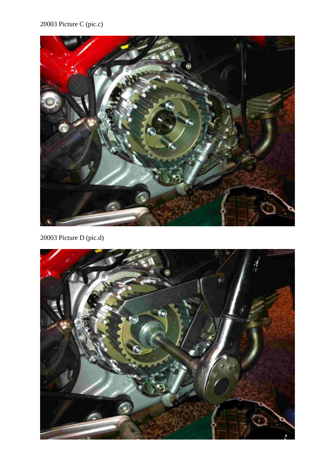# 20003 Picture C (pic.c)



20003 Picture D (pic.d)

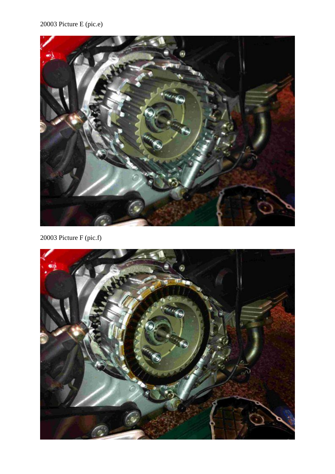# 20003 Picture E (pic.e)



20003 Picture F (pic.f)

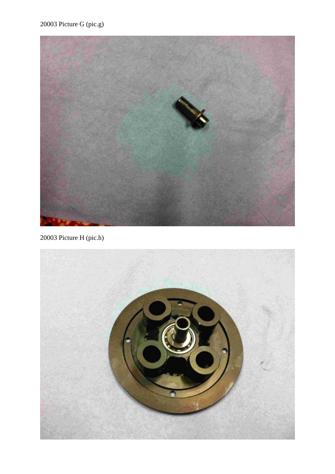

20003 Picture H (pic.h)

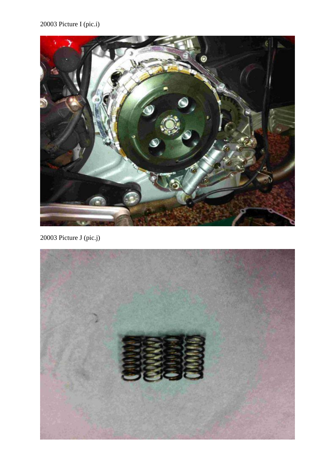# 20003 Picture I (pic.i)



20003 Picture J (pic.j)

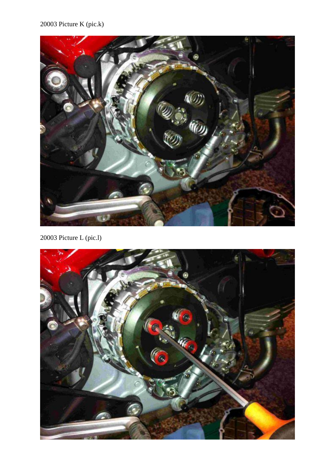#### 20003 Picture K (pic.k)



20003 Picture L (pic.l)